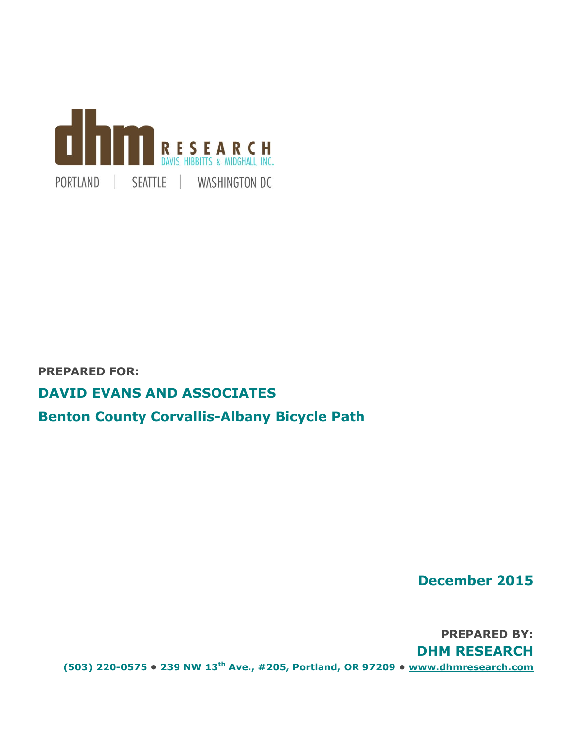

# **PREPARED FOR:**

# **DAVID EVANS AND ASSOCIATES**

# **Benton County Corvallis-Albany Bicycle Path**

**December 2015**

**PREPARED BY: DHM RESEARCH (503) 220-0575 • 239 NW 13th Ave., #205, Portland, OR 97209 • [www.dhmresearch.com](http://www.dhmresearch.com/)**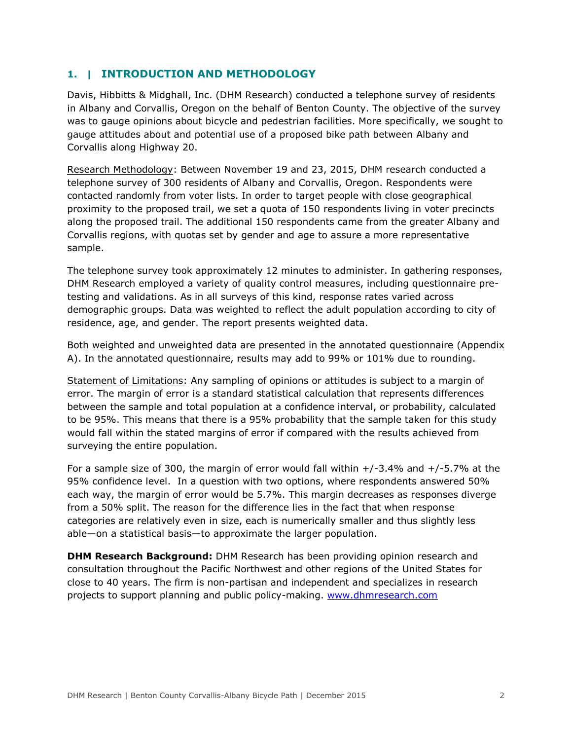# **1. | INTRODUCTION AND METHODOLOGY**

Davis, Hibbitts & Midghall, Inc. (DHM Research) conducted a telephone survey of residents in Albany and Corvallis, Oregon on the behalf of Benton County. The objective of the survey was to gauge opinions about bicycle and pedestrian facilities. More specifically, we sought to gauge attitudes about and potential use of a proposed bike path between Albany and Corvallis along Highway 20.

Research Methodology: Between November 19 and 23, 2015, DHM research conducted a telephone survey of 300 residents of Albany and Corvallis, Oregon. Respondents were contacted randomly from voter lists. In order to target people with close geographical proximity to the proposed trail, we set a quota of 150 respondents living in voter precincts along the proposed trail. The additional 150 respondents came from the greater Albany and Corvallis regions, with quotas set by gender and age to assure a more representative sample.

The telephone survey took approximately 12 minutes to administer. In gathering responses, DHM Research employed a variety of quality control measures, including questionnaire pretesting and validations. As in all surveys of this kind, response rates varied across demographic groups. Data was weighted to reflect the adult population according to city of residence, age, and gender. The report presents weighted data.

Both weighted and unweighted data are presented in the annotated questionnaire (Appendix A). In the annotated questionnaire, results may add to 99% or 101% due to rounding.

Statement of Limitations: Any sampling of opinions or attitudes is subject to a margin of error. The margin of error is a standard statistical calculation that represents differences between the sample and total population at a confidence interval, or probability, calculated to be 95%. This means that there is a 95% probability that the sample taken for this study would fall within the stated margins of error if compared with the results achieved from surveying the entire population.

For a sample size of 300, the margin of error would fall within  $+/-3.4\%$  and  $+/-5.7\%$  at the 95% confidence level. In a question with two options, where respondents answered 50% each way, the margin of error would be 5.7%. This margin decreases as responses diverge from a 50% split. The reason for the difference lies in the fact that when response categories are relatively even in size, each is numerically smaller and thus slightly less able—on a statistical basis—to approximate the larger population.

**DHM Research Background:** DHM Research has been providing opinion research and consultation throughout the Pacific Northwest and other regions of the United States for close to 40 years. The firm is non-partisan and independent and specializes in research projects to support planning and public policy-making. [www.dhmresearch.com](http://www.dhmresearch.com/)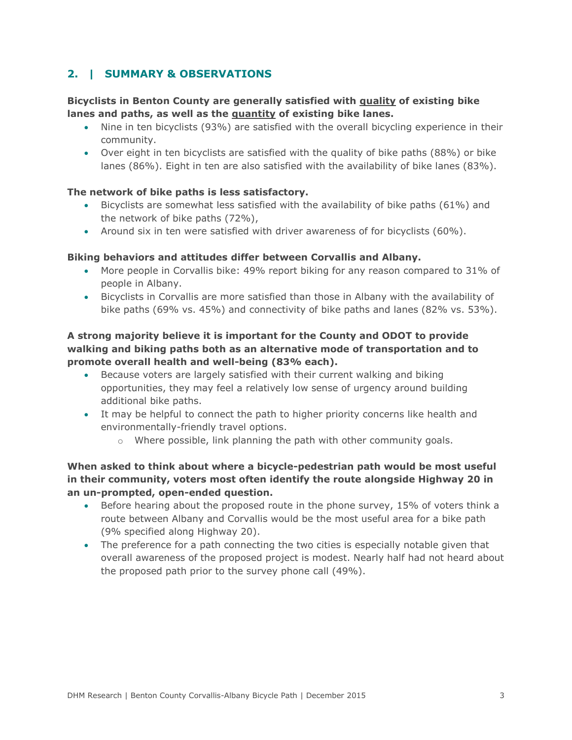# **2. | SUMMARY & OBSERVATIONS**

## **Bicyclists in Benton County are generally satisfied with quality of existing bike lanes and paths, as well as the quantity of existing bike lanes.**

- Nine in ten bicyclists (93%) are satisfied with the overall bicycling experience in their community.
- Over eight in ten bicyclists are satisfied with the quality of bike paths (88%) or bike lanes (86%). Eight in ten are also satisfied with the availability of bike lanes (83%).

### **The network of bike paths is less satisfactory.**

- Bicyclists are somewhat less satisfied with the availability of bike paths (61%) and the network of bike paths (72%),
- Around six in ten were satisfied with driver awareness of for bicyclists (60%).

### **Biking behaviors and attitudes differ between Corvallis and Albany.**

- More people in Corvallis bike: 49% report biking for any reason compared to 31% of people in Albany.
- Bicyclists in Corvallis are more satisfied than those in Albany with the availability of bike paths (69% vs. 45%) and connectivity of bike paths and lanes (82% vs. 53%).

## **A strong majority believe it is important for the County and ODOT to provide walking and biking paths both as an alternative mode of transportation and to promote overall health and well-being (83% each).**

- Because voters are largely satisfied with their current walking and biking opportunities, they may feel a relatively low sense of urgency around building additional bike paths.
- It may be helpful to connect the path to higher priority concerns like health and environmentally-friendly travel options.
	- $\circ$  Where possible, link planning the path with other community goals.

## **When asked to think about where a bicycle-pedestrian path would be most useful in their community, voters most often identify the route alongside Highway 20 in an un-prompted, open-ended question.**

- Before hearing about the proposed route in the phone survey, 15% of voters think a route between Albany and Corvallis would be the most useful area for a bike path (9% specified along Highway 20).
- The preference for a path connecting the two cities is especially notable given that overall awareness of the proposed project is modest. Nearly half had not heard about the proposed path prior to the survey phone call (49%).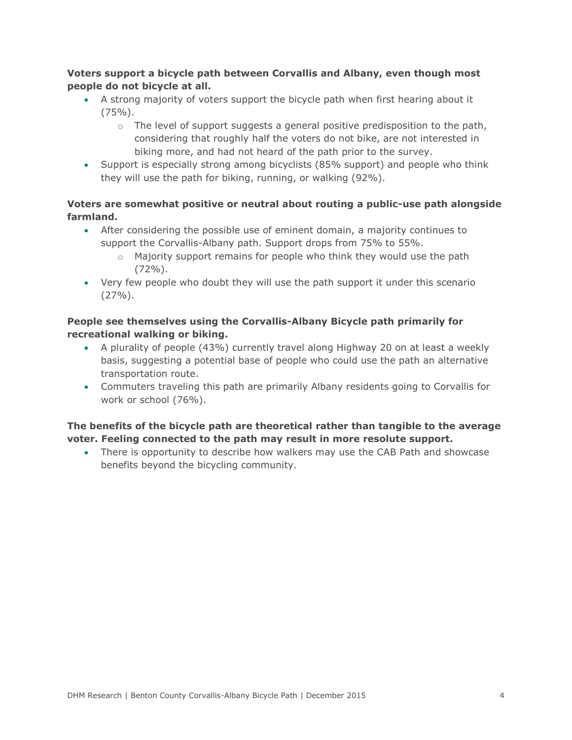## **Voters support a bicycle path between Corvallis and Albany, even though most people do not bicycle at all.**

- A strong majority of voters support the bicycle path when first hearing about it  $(75\%)$ .
	- $\circ$  The level of support suggests a general positive predisposition to the path, considering that roughly half the voters do not bike, are not interested in biking more, and had not heard of the path prior to the survey.
- Support is especially strong among bicyclists (85% support) and people who think they will use the path for biking, running, or walking (92%).

# **Voters are somewhat positive or neutral about routing a public-use path alongside farmland.**

- After considering the possible use of eminent domain, a majority continues to support the Corvallis-Albany path. Support drops from 75% to 55%.
	- $\circ$  Majority support remains for people who think they would use the path  $(72\%)$ .
- Very few people who doubt they will use the path support it under this scenario  $(27\%)$ .

# **People see themselves using the Corvallis-Albany Bicycle path primarily for recreational walking or biking.**

- A plurality of people (43%) currently travel along Highway 20 on at least a weekly basis, suggesting a potential base of people who could use the path an alternative transportation route.
- Commuters traveling this path are primarily Albany residents going to Corvallis for work or school (76%).

# **The benefits of the bicycle path are theoretical rather than tangible to the average voter. Feeling connected to the path may result in more resolute support.**

 There is opportunity to describe how walkers may use the CAB Path and showcase benefits beyond the bicycling community.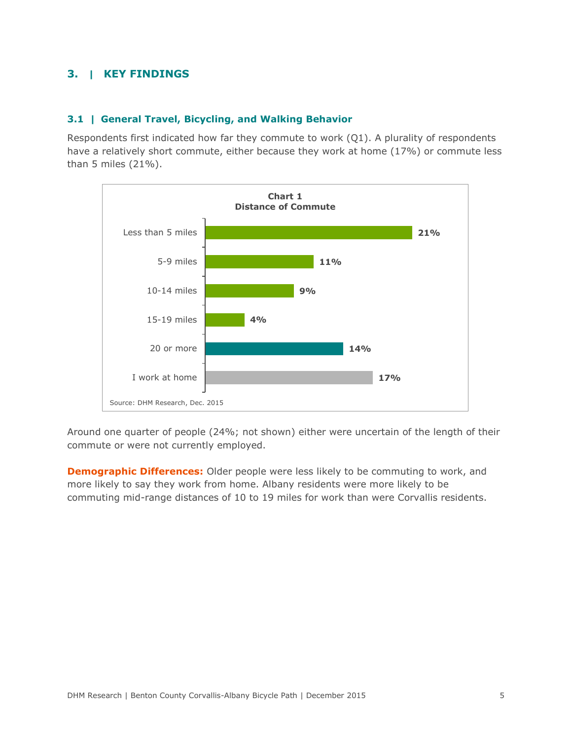# **3. | KEY FINDINGS**

### **3.1 | General Travel, Bicycling, and Walking Behavior**

Respondents first indicated how far they commute to work (Q1). A plurality of respondents have a relatively short commute, either because they work at home (17%) or commute less than 5 miles (21%).



Around one quarter of people (24%; not shown) either were uncertain of the length of their commute or were not currently employed.

**Demographic Differences:** Older people were less likely to be commuting to work, and more likely to say they work from home. Albany residents were more likely to be commuting mid-range distances of 10 to 19 miles for work than were Corvallis residents.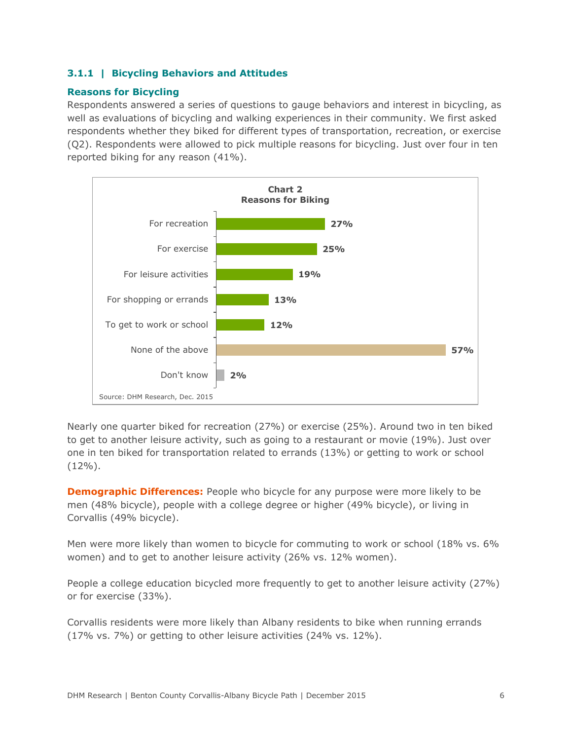# **3.1.1 | Bicycling Behaviors and Attitudes**

## **Reasons for Bicycling**

Respondents answered a series of questions to gauge behaviors and interest in bicycling, as well as evaluations of bicycling and walking experiences in their community. We first asked respondents whether they biked for different types of transportation, recreation, or exercise (Q2). Respondents were allowed to pick multiple reasons for bicycling. Just over four in ten reported biking for any reason (41%).



Nearly one quarter biked for recreation (27%) or exercise (25%). Around two in ten biked to get to another leisure activity, such as going to a restaurant or movie (19%). Just over one in ten biked for transportation related to errands (13%) or getting to work or school  $(12\%)$ .

**Demographic Differences:** People who bicycle for any purpose were more likely to be men (48% bicycle), people with a college degree or higher (49% bicycle), or living in Corvallis (49% bicycle).

Men were more likely than women to bicycle for commuting to work or school (18% vs. 6% women) and to get to another leisure activity (26% vs. 12% women).

People a college education bicycled more frequently to get to another leisure activity (27%) or for exercise (33%).

Corvallis residents were more likely than Albany residents to bike when running errands (17% vs. 7%) or getting to other leisure activities (24% vs. 12%).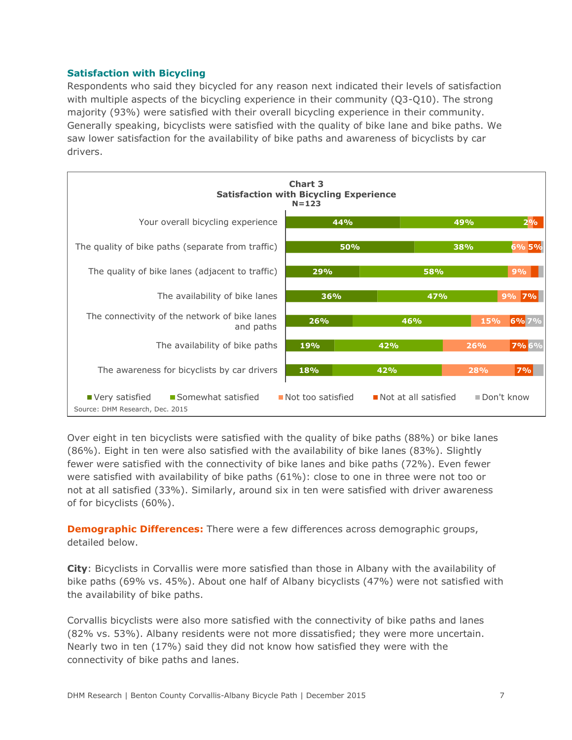### **Satisfaction with Bicycling**

Respondents who said they bicycled for any reason next indicated their levels of satisfaction with multiple aspects of the bicycling experience in their community (Q3-Q10). The strong majority (93%) were satisfied with their overall bicycling experience in their community. Generally speaking, bicyclists were satisfied with the quality of bike lane and bike paths. We saw lower satisfaction for the availability of bike paths and awareness of bicyclists by car drivers.

| <b>Chart 3</b><br><b>Satisfaction with Bicycling Experience</b><br>$N = 123$ |                   |                      |     |            |  |
|------------------------------------------------------------------------------|-------------------|----------------------|-----|------------|--|
| Your overall bicycling experience                                            | 44%               |                      | 49% | 2%         |  |
| The quality of bike paths (separate from traffic)                            |                   | 50%                  | 38% | 6% 5%      |  |
| The quality of bike lanes (adjacent to traffic)                              | 29%               | 58%                  |     | 9%         |  |
| The availability of bike lanes                                               | 36%               | 47%                  |     | 9% 7%      |  |
| The connectivity of the network of bike lanes<br>and paths                   | 26%               | 46%                  | 15% | 6% 7%      |  |
| The availability of bike paths                                               | 19%               | 42%                  | 26% | 7% 6%      |  |
| The awareness for bicyclists by car drivers                                  | 18%               | 42%                  | 28% | 7%         |  |
| Somewhat satisfied<br>Very satisfied<br>Source: DHM Research, Dec. 2015      | Not too satisfied | Not at all satisfied |     | Don't know |  |

Over eight in ten bicyclists were satisfied with the quality of bike paths (88%) or bike lanes (86%). Eight in ten were also satisfied with the availability of bike lanes (83%). Slightly fewer were satisfied with the connectivity of bike lanes and bike paths (72%). Even fewer were satisfied with availability of bike paths (61%): close to one in three were not too or not at all satisfied (33%). Similarly, around six in ten were satisfied with driver awareness of for bicyclists (60%).

**Demographic Differences:** There were a few differences across demographic groups, detailed below.

**City**: Bicyclists in Corvallis were more satisfied than those in Albany with the availability of bike paths (69% vs. 45%). About one half of Albany bicyclists (47%) were not satisfied with the availability of bike paths.

Corvallis bicyclists were also more satisfied with the connectivity of bike paths and lanes (82% vs. 53%). Albany residents were not more dissatisfied; they were more uncertain. Nearly two in ten (17%) said they did not know how satisfied they were with the connectivity of bike paths and lanes.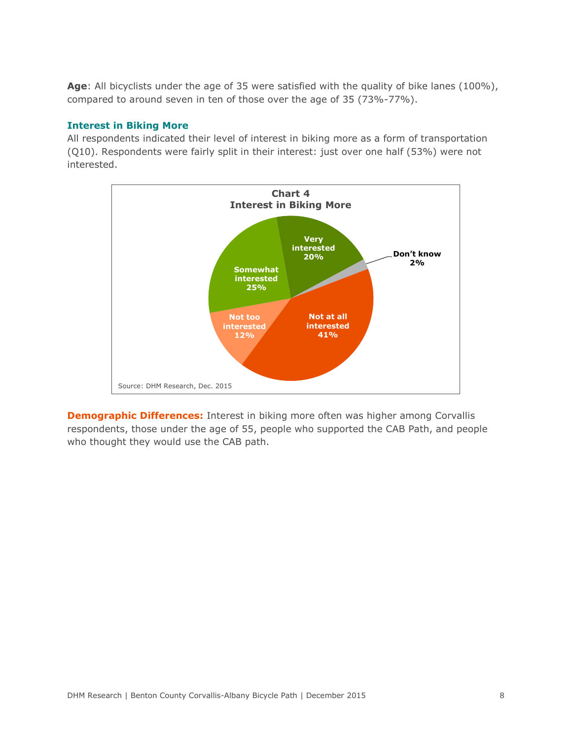**Age**: All bicyclists under the age of 35 were satisfied with the quality of bike lanes (100%), compared to around seven in ten of those over the age of 35 (73%-77%).

#### **Interest in Biking More**

All respondents indicated their level of interest in biking more as a form of transportation (Q10). Respondents were fairly split in their interest: just over one half (53%) were not interested.



**Demographic Differences:** Interest in biking more often was higher among Corvallis respondents, those under the age of 55, people who supported the CAB Path, and people who thought they would use the CAB path.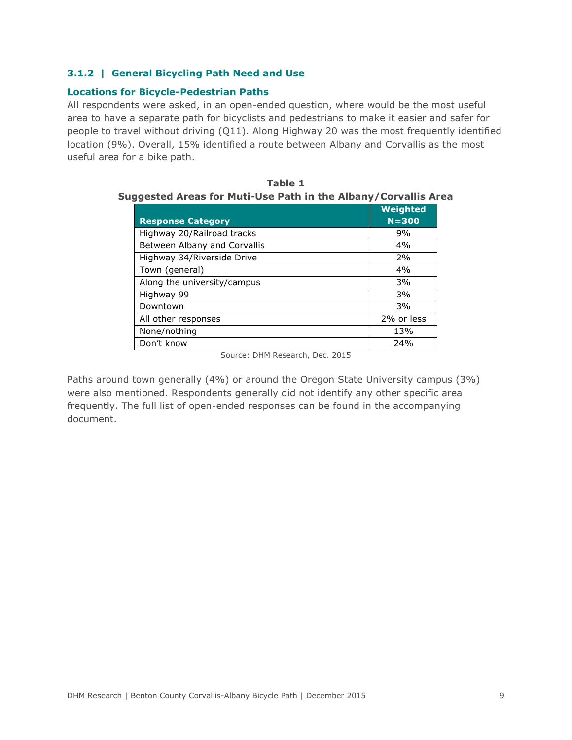## **3.1.2 | General Bicycling Path Need and Use**

## **Locations for Bicycle-Pedestrian Paths**

All respondents were asked, in an open-ended question, where would be the most useful area to have a separate path for bicyclists and pedestrians to make it easier and safer for people to travel without driving (Q11). Along Highway 20 was the most frequently identified location (9%). Overall, 15% identified a route between Albany and Corvallis as the most useful area for a bike path.

|                              | Weighted   |
|------------------------------|------------|
| <b>Response Category</b>     | $N = 300$  |
| Highway 20/Railroad tracks   | 9%         |
| Between Albany and Corvallis | 4%         |
| Highway 34/Riverside Drive   | 2%         |
| Town (general)               | 4%         |
| Along the university/campus  | 3%         |
| Highway 99                   | 3%         |
| Downtown                     | 3%         |
| All other responses          | 2% or less |
| None/nothing                 | 13%        |
| Don't know                   | 24%        |

| Table 1                                                        |  |  |  |  |
|----------------------------------------------------------------|--|--|--|--|
| Suggested Areas for Muti-Use Path in the Albany/Corvallis Area |  |  |  |  |

Source: DHM Research, Dec. 2015

Paths around town generally (4%) or around the Oregon State University campus (3%) were also mentioned. Respondents generally did not identify any other specific area frequently. The full list of open-ended responses can be found in the accompanying document.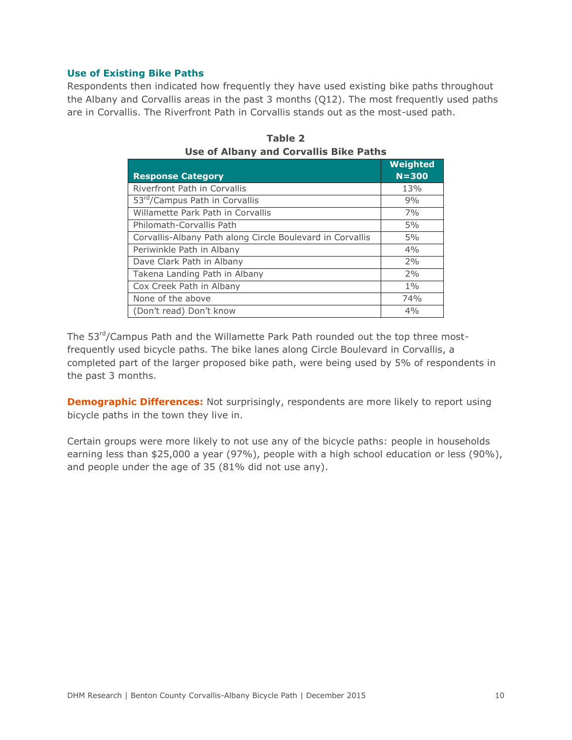#### **Use of Existing Bike Paths**

Respondents then indicated how frequently they have used existing bike paths throughout the Albany and Corvallis areas in the past 3 months (Q12). The most frequently used paths are in Corvallis. The Riverfront Path in Corvallis stands out as the most-used path.

| <b>Response Category</b>                                  | Weighted<br>$N = 300$ |
|-----------------------------------------------------------|-----------------------|
| Riverfront Path in Corvallis                              | 13%                   |
| 53rd/Campus Path in Corvallis                             | 9%                    |
| Willamette Park Path in Corvallis                         | 7%                    |
| Philomath-Corvallis Path                                  | 5%                    |
| Corvallis-Albany Path along Circle Boulevard in Corvallis | 5%                    |
| Periwinkle Path in Albany                                 | 4%                    |
| Dave Clark Path in Albany                                 | 2%                    |
| Takena Landing Path in Albany                             | 2%                    |
| Cox Creek Path in Albany                                  | $1\%$                 |
| None of the above                                         | 74%                   |
| (Don't read) Don't know                                   | 4%                    |

**Table 2 Use of Albany and Corvallis Bike Paths**

The 53<sup>rd</sup>/Campus Path and the Willamette Park Path rounded out the top three mostfrequently used bicycle paths. The bike lanes along Circle Boulevard in Corvallis, a completed part of the larger proposed bike path, were being used by 5% of respondents in the past 3 months.

**Demographic Differences:** Not surprisingly, respondents are more likely to report using bicycle paths in the town they live in.

Certain groups were more likely to not use any of the bicycle paths: people in households earning less than \$25,000 a year (97%), people with a high school education or less (90%), and people under the age of 35 (81% did not use any).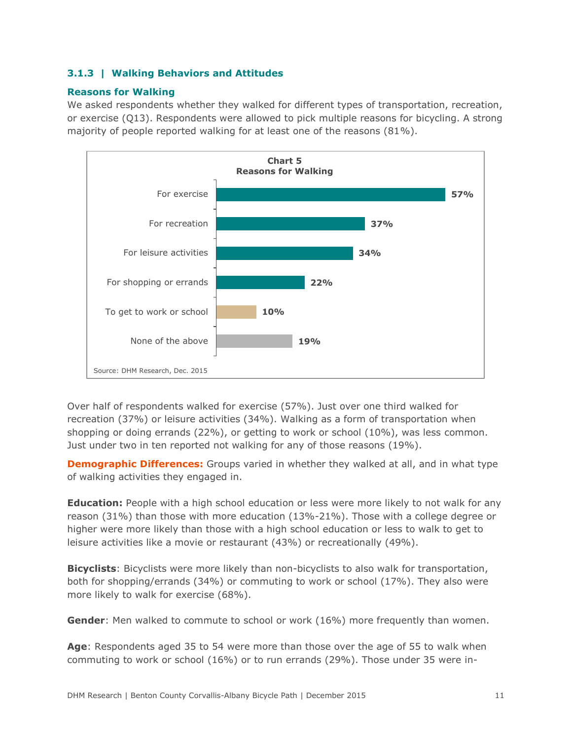# **3.1.3 | Walking Behaviors and Attitudes**

## **Reasons for Walking**

We asked respondents whether they walked for different types of transportation, recreation, or exercise (Q13). Respondents were allowed to pick multiple reasons for bicycling. A strong majority of people reported walking for at least one of the reasons (81%).



Over half of respondents walked for exercise (57%). Just over one third walked for recreation (37%) or leisure activities (34%). Walking as a form of transportation when shopping or doing errands (22%), or getting to work or school (10%), was less common. Just under two in ten reported not walking for any of those reasons (19%).

**Demographic Differences:** Groups varied in whether they walked at all, and in what type of walking activities they engaged in.

**Education:** People with a high school education or less were more likely to not walk for any reason (31%) than those with more education (13%-21%). Those with a college degree or higher were more likely than those with a high school education or less to walk to get to leisure activities like a movie or restaurant (43%) or recreationally (49%).

**Bicyclists**: Bicyclists were more likely than non-bicyclists to also walk for transportation, both for shopping/errands (34%) or commuting to work or school (17%). They also were more likely to walk for exercise (68%).

**Gender:** Men walked to commute to school or work (16%) more frequently than women.

**Age**: Respondents aged 35 to 54 were more than those over the age of 55 to walk when commuting to work or school (16%) or to run errands (29%). Those under 35 were in-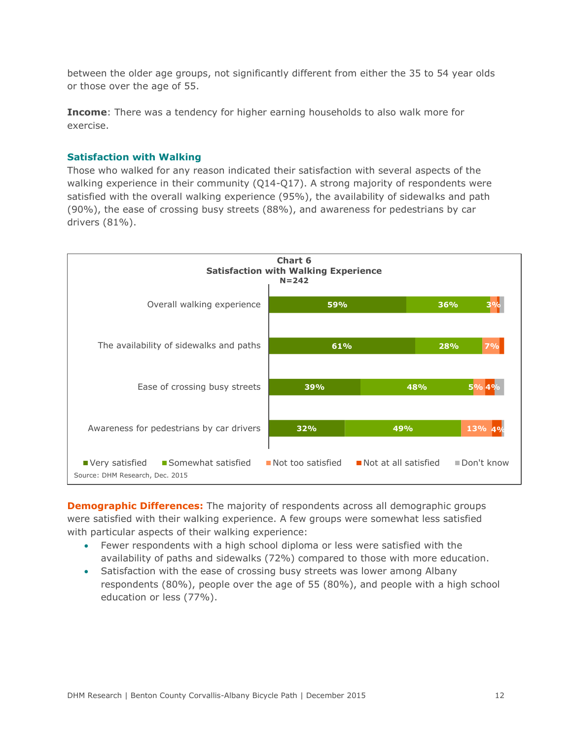between the older age groups, not significantly different from either the 35 to 54 year olds or those over the age of 55.

**Income**: There was a tendency for higher earning households to also walk more for exercise.

#### **Satisfaction with Walking**

Those who walked for any reason indicated their satisfaction with several aspects of the walking experience in their community (Q14-Q17). A strong majority of respondents were satisfied with the overall walking experience (95%), the availability of sidewalks and path (90%), the ease of crossing busy streets (88%), and awareness for pedestrians by car drivers (81%).



**Demographic Differences:** The majority of respondents across all demographic groups were satisfied with their walking experience. A few groups were somewhat less satisfied with particular aspects of their walking experience:

- Fewer respondents with a high school diploma or less were satisfied with the availability of paths and sidewalks (72%) compared to those with more education.
- Satisfaction with the ease of crossing busy streets was lower among Albany respondents (80%), people over the age of 55 (80%), and people with a high school education or less (77%).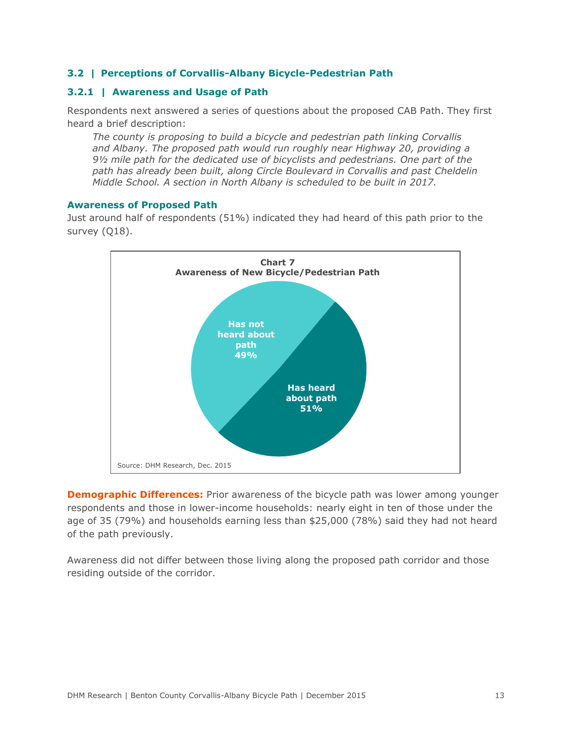#### **3.2 | Perceptions of Corvallis-Albany Bicycle-Pedestrian Path**

## **3.2.1 | Awareness and Usage of Path**

Respondents next answered a series of questions about the proposed CAB Path. They first heard a brief description:

*The county is proposing to build a bicycle and pedestrian path linking Corvallis and Albany. The proposed path would run roughly near Highway 20, providing a 9½ mile path for the dedicated use of bicyclists and pedestrians. One part of the path has already been built, along Circle Boulevard in Corvallis and past Cheldelin Middle School. A section in North Albany is scheduled to be built in 2017.*

#### **Awareness of Proposed Path**

Just around half of respondents (51%) indicated they had heard of this path prior to the survey (Q18).



**Demographic Differences:** Prior awareness of the bicycle path was lower among younger respondents and those in lower-income households: nearly eight in ten of those under the age of 35 (79%) and households earning less than \$25,000 (78%) said they had not heard of the path previously.

Awareness did not differ between those living along the proposed path corridor and those residing outside of the corridor.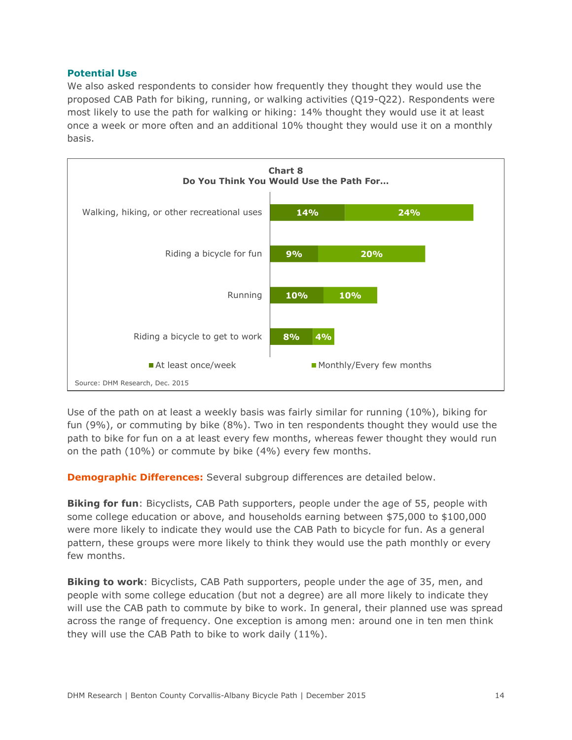#### **Potential Use**

We also asked respondents to consider how frequently they thought they would use the proposed CAB Path for biking, running, or walking activities (Q19-Q22). Respondents were most likely to use the path for walking or hiking: 14% thought they would use it at least once a week or more often and an additional 10% thought they would use it on a monthly basis.



Use of the path on at least a weekly basis was fairly similar for running (10%), biking for fun (9%), or commuting by bike (8%). Two in ten respondents thought they would use the path to bike for fun on a at least every few months, whereas fewer thought they would run on the path (10%) or commute by bike (4%) every few months.

**Demographic Differences:** Several subgroup differences are detailed below.

**Biking for fun**: Bicyclists, CAB Path supporters, people under the age of 55, people with some college education or above, and households earning between \$75,000 to \$100,000 were more likely to indicate they would use the CAB Path to bicycle for fun. As a general pattern, these groups were more likely to think they would use the path monthly or every few months.

**Biking to work**: Bicyclists, CAB Path supporters, people under the age of 35, men, and people with some college education (but not a degree) are all more likely to indicate they will use the CAB path to commute by bike to work. In general, their planned use was spread across the range of frequency. One exception is among men: around one in ten men think they will use the CAB Path to bike to work daily (11%).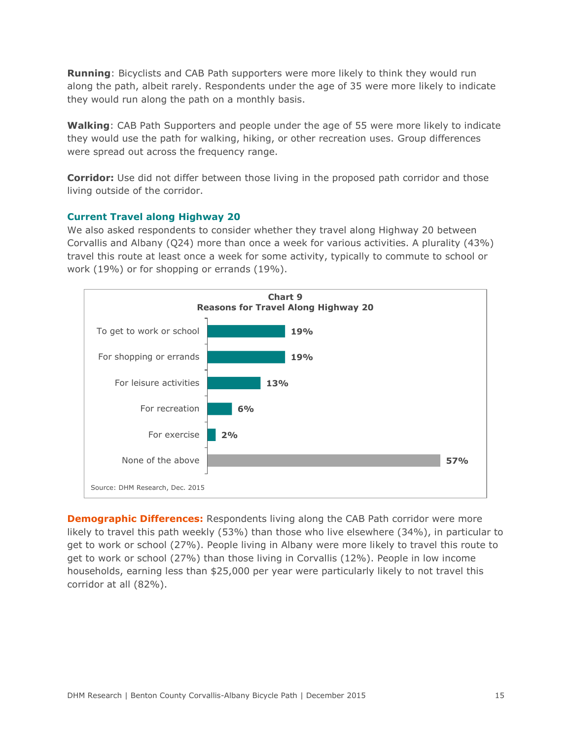**Running**: Bicyclists and CAB Path supporters were more likely to think they would run along the path, albeit rarely. Respondents under the age of 35 were more likely to indicate they would run along the path on a monthly basis.

**Walking**: CAB Path Supporters and people under the age of 55 were more likely to indicate they would use the path for walking, hiking, or other recreation uses. Group differences were spread out across the frequency range.

**Corridor:** Use did not differ between those living in the proposed path corridor and those living outside of the corridor.

## **Current Travel along Highway 20**

We also asked respondents to consider whether they travel along Highway 20 between Corvallis and Albany (Q24) more than once a week for various activities. A plurality (43%) travel this route at least once a week for some activity, typically to commute to school or work (19%) or for shopping or errands (19%).



**Demographic Differences:** Respondents living along the CAB Path corridor were more likely to travel this path weekly (53%) than those who live elsewhere (34%), in particular to get to work or school (27%). People living in Albany were more likely to travel this route to get to work or school (27%) than those living in Corvallis (12%). People in low income households, earning less than \$25,000 per year were particularly likely to not travel this corridor at all (82%).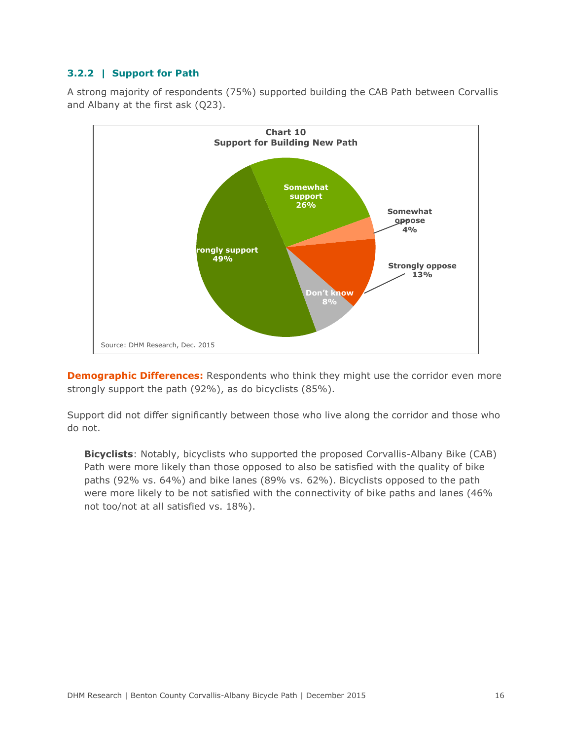## **3.2.2 | Support for Path**

A strong majority of respondents (75%) supported building the CAB Path between Corvallis and Albany at the first ask (Q23).



**Demographic Differences:** Respondents who think they might use the corridor even more strongly support the path (92%), as do bicyclists (85%).

Support did not differ significantly between those who live along the corridor and those who do not.

**Bicyclists**: Notably, bicyclists who supported the proposed Corvallis-Albany Bike (CAB) Path were more likely than those opposed to also be satisfied with the quality of bike paths (92% vs. 64%) and bike lanes (89% vs. 62%). Bicyclists opposed to the path were more likely to be not satisfied with the connectivity of bike paths and lanes (46% not too/not at all satisfied vs. 18%).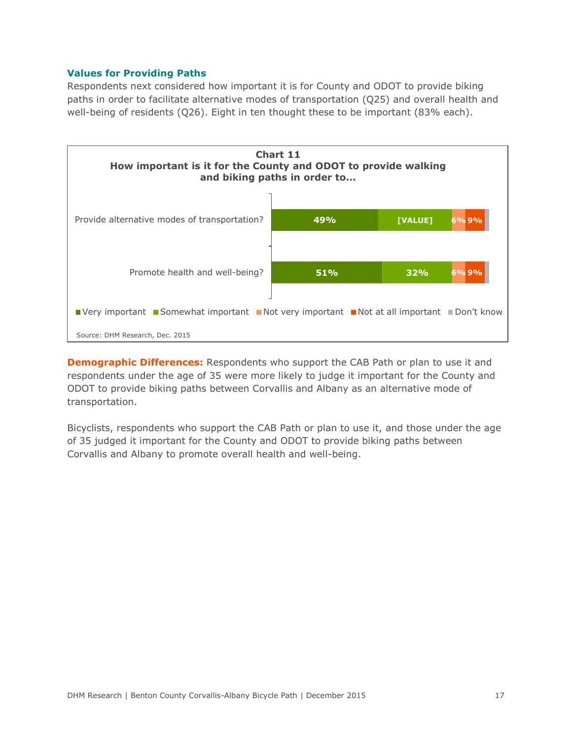### **Values for Providing Paths**

Respondents next considered how important it is for County and ODOT to provide biking paths in order to facilitate alternative modes of transportation (Q25) and overall health and well-being of residents (Q26). Eight in ten thought these to be important (83% each).



**Demographic Differences:** Respondents who support the CAB Path or plan to use it and respondents under the age of 35 were more likely to judge it important for the County and ODOT to provide biking paths between Corvallis and Albany as an alternative mode of transportation.

Bicyclists, respondents who support the CAB Path or plan to use it, and those under the age of 35 judged it important for the County and ODOT to provide biking paths between Corvallis and Albany to promote overall health and well-being.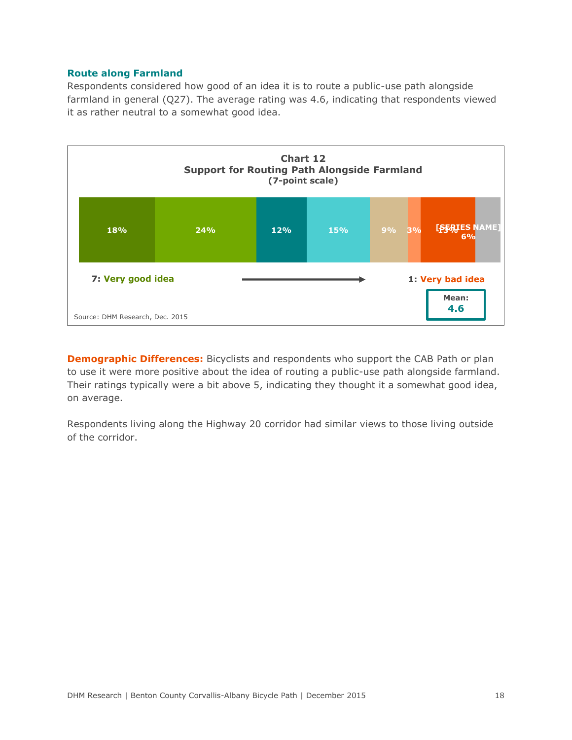#### **Route along Farmland**

Respondents considered how good of an idea it is to route a public-use path alongside farmland in general (Q27). The average rating was 4.6, indicating that respondents viewed it as rather neutral to a somewhat good idea.



**Demographic Differences:** Bicyclists and respondents who support the CAB Path or plan to use it were more positive about the idea of routing a public-use path alongside farmland. Their ratings typically were a bit above 5, indicating they thought it a somewhat good idea, on average.

Respondents living along the Highway 20 corridor had similar views to those living outside of the corridor.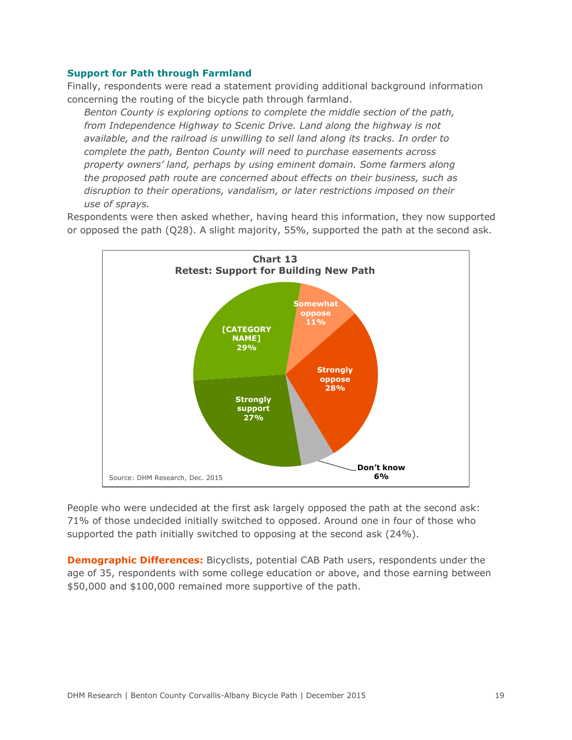#### **Support for Path through Farmland**

Finally, respondents were read a statement providing additional background information concerning the routing of the bicycle path through farmland.

*Benton County is exploring options to complete the middle section of the path, from Independence Highway to Scenic Drive. Land along the highway is not available, and the railroad is unwilling to sell land along its tracks. In order to complete the path, Benton County will need to purchase easements across property owners' land, perhaps by using eminent domain. Some farmers along the proposed path route are concerned about effects on their business, such as disruption to their operations, vandalism, or later restrictions imposed on their use of sprays.* 

Respondents were then asked whether, having heard this information, they now supported or opposed the path (Q28). A slight majority, 55%, supported the path at the second ask.



People who were undecided at the first ask largely opposed the path at the second ask: 71% of those undecided initially switched to opposed. Around one in four of those who supported the path initially switched to opposing at the second ask (24%).

**Demographic Differences:** Bicyclists, potential CAB Path users, respondents under the age of 35, respondents with some college education or above, and those earning between \$50,000 and \$100,000 remained more supportive of the path.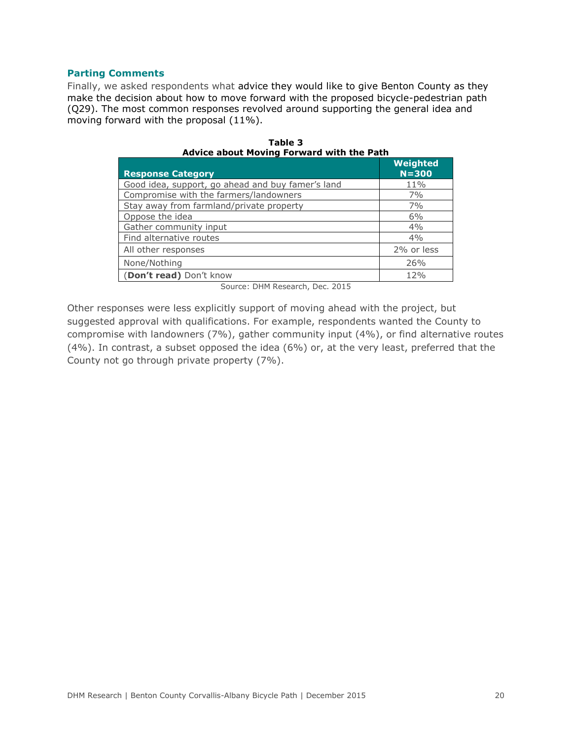#### **Parting Comments**

Finally, we asked respondents what advice they would like to give Benton County as they make the decision about how to move forward with the proposed bicycle-pedestrian path (Q29). The most common responses revolved around supporting the general idea and moving forward with the proposal (11%).

| <b>Response Category</b>                          | Weighted<br>$N = 300$ |
|---------------------------------------------------|-----------------------|
| Good idea, support, go ahead and buy famer's land | 11%                   |
| Compromise with the farmers/landowners            | 7%                    |
| Stay away from farmland/private property          | 7%                    |
| Oppose the idea                                   | 6%                    |
| Gather community input                            | 4%                    |
| Find alternative routes                           | 4%                    |
| All other responses                               | 2% or less            |
| None/Nothing                                      | 26%                   |
| (Don't read) Don't know                           | 12%                   |

|                                                  | Table 3 |  |  |
|--------------------------------------------------|---------|--|--|
| <b>Advice about Moving Forward with the Path</b> |         |  |  |

Source: DHM Research, Dec. 2015

Other responses were less explicitly support of moving ahead with the project, but suggested approval with qualifications. For example, respondents wanted the County to compromise with landowners (7%), gather community input (4%), or find alternative routes (4%). In contrast, a subset opposed the idea (6%) or, at the very least, preferred that the County not go through private property (7%).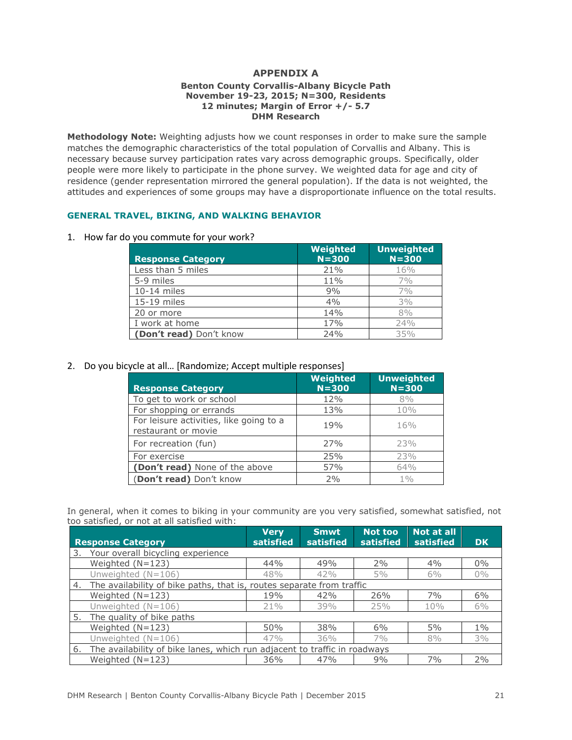# **APPENDIX A**

#### **Benton County Corvallis-Albany Bicycle Path November 19-23, 2015; N=300, Residents 12 minutes; Margin of Error +/- 5.7 DHM Research**

**Methodology Note:** Weighting adjusts how we count responses in order to make sure the sample matches the demographic characteristics of the total population of Corvallis and Albany. This is necessary because survey participation rates vary across demographic groups. Specifically, older people were more likely to participate in the phone survey. We weighted data for age and city of residence (gender representation mirrored the general population). If the data is not weighted, the attitudes and experiences of some groups may have a disproportionate influence on the total results.

#### **GENERAL TRAVEL, BIKING, AND WALKING BEHAVIOR**

1. How far do you commute for your work?

| <b>Response Category</b> | Weighted<br>$N = 300$ | <b>Unweighted</b><br>$N = 300$ |
|--------------------------|-----------------------|--------------------------------|
| Less than 5 miles        | 21%                   | 16%                            |
| 5-9 miles                | 11%                   | 7%                             |
| 10-14 miles              | 9%                    | 7%                             |
| 15-19 miles              | 4%                    | 3%                             |
| 20 or more               | 14%                   | 8%                             |
| I work at home           | 17%                   | 24%                            |
| (Don't read) Don't know  | 74%                   | 35%                            |

#### 2. Do you bicycle at all… [Randomize; Accept multiple responses]

| <b>Response Category</b>                                       | Weighted<br>$N = 300$ | <b>Unweighted</b><br>$N = 300$ |
|----------------------------------------------------------------|-----------------------|--------------------------------|
| To get to work or school                                       | 12%                   | 8%                             |
| For shopping or errands                                        | 13%                   | 10%                            |
| For leisure activities, like going to a<br>restaurant or movie | 19%                   | 16%                            |
| For recreation (fun)                                           | 27%                   | 23%                            |
| For exercise                                                   | 25%                   | 23%                            |
| (Don't read) None of the above                                 | 57%                   | 64%                            |
| (Don't read) Don't know                                        | 2%                    | $1\%$                          |

In general, when it comes to biking in your community are you very satisfied, somewhat satisfied, not too satisfied, or not at all satisfied with:

|                                                                              | <b>Response Category</b>                                              | <b>Verv</b><br>satisfied | <b>Smwt</b><br>satisfied | Not too<br>satisfied | <b>Not at all</b><br>satisfied | <b>DK</b> |
|------------------------------------------------------------------------------|-----------------------------------------------------------------------|--------------------------|--------------------------|----------------------|--------------------------------|-----------|
|                                                                              | 3. Your overall bicycling experience                                  |                          |                          |                      |                                |           |
|                                                                              | Weighted $(N=123)$                                                    | 44%                      | 49%                      | 2%                   | 4%                             | $0\%$     |
|                                                                              | Unweighted $(N=106)$                                                  | 48%                      | 42%                      | 5%                   | 6%                             | $0\%$     |
| 4.                                                                           | The availability of bike paths, that is, routes separate from traffic |                          |                          |                      |                                |           |
|                                                                              | Weighted $(N=123)$                                                    | 19%                      | 42%                      | 26%                  | 7%                             | 6%        |
|                                                                              | Unweighted $(N=106)$                                                  | 21%                      | 39%                      | 25%                  | 10%                            | $6\%$     |
|                                                                              | 5. The quality of bike paths                                          |                          |                          |                      |                                |           |
|                                                                              | Weighted $(N=123)$                                                    | 50%                      | 38%                      | 6%                   | 5%                             | $1\%$     |
|                                                                              | Unweighted $(N=106)$                                                  | 47%                      | 36%                      | $7\%$                | 8%                             | $3\%$     |
| 6. The availability of bike lanes, which run adjacent to traffic in roadways |                                                                       |                          |                          |                      |                                |           |
|                                                                              | Weighted $(N=123)$                                                    | 36%                      | 47%                      | 9%                   | 7%                             | 2%        |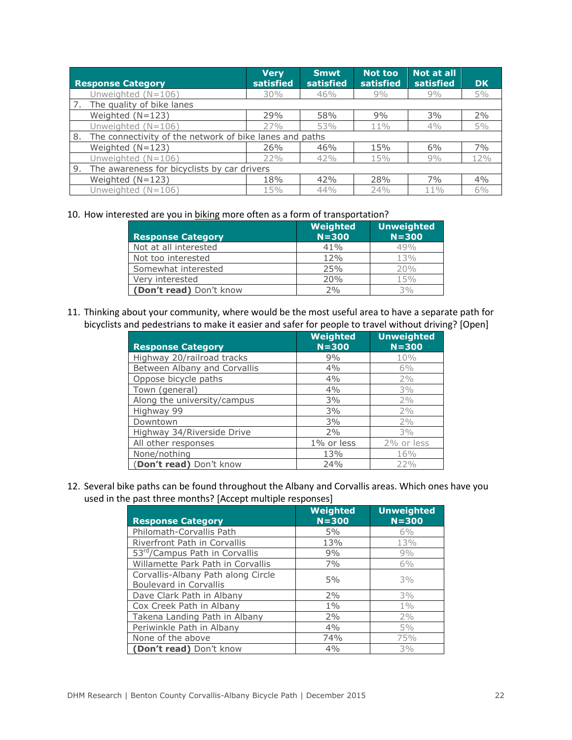| <b>Response Category</b>                                      | <b>Very</b><br>satisfied | <b>Smwt</b><br>satisfied | Not too<br>satisfied | <b>Not at all</b><br>satisfied | <b>DK</b> |
|---------------------------------------------------------------|--------------------------|--------------------------|----------------------|--------------------------------|-----------|
| Unweighted $(N=106)$                                          | 30%                      | 46%                      | 9%                   | 9%                             | $5\%$     |
| 7. The quality of bike lanes                                  |                          |                          |                      |                                |           |
| Weighted $(N=123)$                                            | 29%                      | 58%                      | 9%                   | 3%                             | 2%        |
| Unweighted $(N=106)$                                          | 27%                      | 53%                      | 11%                  | 4%                             | 5%        |
| The connectivity of the network of bike lanes and paths<br>8. |                          |                          |                      |                                |           |
| Weighted $(N=123)$                                            | 26%                      | 46%                      | 15%                  | 6%                             | 7%        |
| Unweighted $(N=106)$                                          | 22%                      | 42%                      | 15%                  | 9%                             | 12%       |
| The awareness for bicyclists by car drivers<br>9.             |                          |                          |                      |                                |           |
| Weighted $(N=123)$                                            | 18%                      | 42%                      | 28%                  | 7%                             | 4%        |
| Unweighted $(N=106)$                                          | 15%                      | 44%                      | 74%                  | $11\%$                         | 6%        |

10. How interested are you in biking more often as a form of transportation?

| <b>Response Category</b> | Weighted<br>$N = 300$ | <b>Unweighted</b><br>$N = 300$ |
|--------------------------|-----------------------|--------------------------------|
| Not at all interested    | 41%                   | 49%                            |
| Not too interested       | 12%                   | 13%                            |
| Somewhat interested      | 25%                   | 20%                            |
| Verv interested          | 20%                   | 15%                            |
| (Don't read) Don't know  | 2%                    | 3%                             |

11. Thinking about your community, where would be the most useful area to have a separate path for bicyclists and pedestrians to make it easier and safer for people to travel without driving? [Open]

| <b>Response Category</b>     | Weighted<br>$N = 300$ | <b>Unweighted</b><br>$N = 300$ |
|------------------------------|-----------------------|--------------------------------|
| Highway 20/railroad tracks   | 9%                    | 10%                            |
| Between Albany and Corvallis | 4%                    | 6%                             |
| Oppose bicycle paths         | 4%                    | 2%                             |
| Town (general)               | 4%                    | 3%                             |
| Along the university/campus  | 3%                    | 2%                             |
| Highway 99                   | 3%                    | 2%                             |
| Downtown                     | 3%                    | 2%                             |
| Highway 34/Riverside Drive   | 2%                    | 3%                             |
| All other responses          | 1% or less            | 2% or less                     |
| None/nothing                 | 13%                   | 16%                            |
| (Don't read) Don't know      | 24%                   | 22%                            |

12. Several bike paths can be found throughout the Albany and Corvallis areas. Which ones have you used in the past three months? [Accept multiple responses]

| <b>Response Category</b>                                            | Weighted<br>$N = 300$ | <b>Unweighted</b><br>$N = 300$ |
|---------------------------------------------------------------------|-----------------------|--------------------------------|
| Philomath-Corvallis Path                                            | 5%                    | 6%                             |
| Riverfront Path in Corvallis                                        | 13%                   | 13%                            |
| 53 <sup>rd</sup> /Campus Path in Corvallis                          | 9%                    | 9%                             |
| Willamette Park Path in Corvallis                                   | 7%                    | 6%                             |
| Corvallis-Albany Path along Circle<br><b>Boulevard in Corvallis</b> | 5%                    | 3%                             |
| Dave Clark Path in Albany                                           | 2%                    | 3%                             |
| Cox Creek Path in Albany                                            | $1\%$                 | $1\%$                          |
| Takena Landing Path in Albany                                       | 2%                    | 2%                             |
| Periwinkle Path in Albany                                           | 4%                    | 5%                             |
| None of the above                                                   | 74%                   | 75%                            |
| (Don't read) Don't know                                             | 4%                    | 3%                             |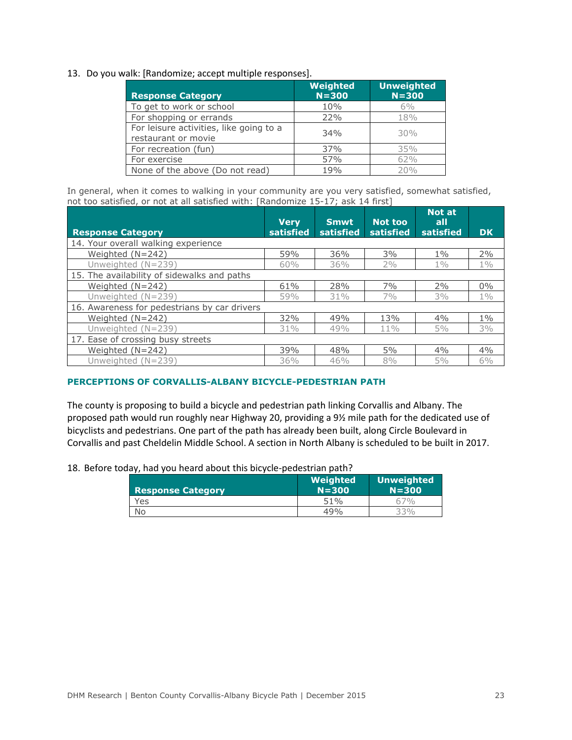#### 13. Do you walk: [Randomize; accept multiple responses].

| <b>Response Category</b>                                       | Weighted<br>$N = 300$ | <b>Unweighted</b><br>$N = 300$ |
|----------------------------------------------------------------|-----------------------|--------------------------------|
| To get to work or school                                       | 10%                   | 6%                             |
| For shopping or errands                                        | 22%                   | 18%                            |
| For leisure activities, like going to a<br>restaurant or movie | 34%                   | 30%                            |
| For recreation (fun)                                           | 37%                   | 35%                            |
| For exercise                                                   | 57%                   | 62%                            |
| None of the above (Do not read)                                | 19%                   | 20%                            |

In general, when it comes to walking in your community are you very satisfied, somewhat satisfied, not too satisfied, or not at all satisfied with: [Randomize 15-17; ask 14 first]

| <b>Response Category</b>                     | <b>Very</b><br>satisfied | <b>Smwt</b><br>satisfied | Not too<br>satisfied | Not at<br>all<br>satisfied | <b>DK</b> |
|----------------------------------------------|--------------------------|--------------------------|----------------------|----------------------------|-----------|
| 14. Your overall walking experience          |                          |                          |                      |                            |           |
| Weighted $(N=242)$                           | 59%                      | 36%                      | 3%                   | $1\%$                      | 2%        |
| Unweighted (N=239)                           | 60%                      | 36%                      | 2%                   | $1\%$                      | $1\%$     |
| 15. The availability of sidewalks and paths  |                          |                          |                      |                            |           |
| Weighted (N=242)                             | 61%                      | 28%                      | 7%                   | 2%                         | $0\%$     |
| Unweighted (N=239)                           | 59%                      | 31%                      | 7%                   | $3\%$                      | $1\%$     |
| 16. Awareness for pedestrians by car drivers |                          |                          |                      |                            |           |
| Weighted $(N=242)$                           | 32%                      | 49%                      | $1.3\%$              | 4%                         | $1\%$     |
| Unweighted $(N=239)$                         | 31%                      | 49%                      | $11\%$               | $5\%$                      | 3%        |
| 17. Ease of crossing busy streets            |                          |                          |                      |                            |           |
| Weighted $(N=242)$                           | 39%                      | 48%                      | 5%                   | 4%                         | 4%        |
| Unweighted $(N=239)$                         | 36%                      | 46%                      | 8%                   | 5%                         | $6\%$     |

#### **PERCEPTIONS OF CORVALLIS-ALBANY BICYCLE-PEDESTRIAN PATH**

The county is proposing to build a bicycle and pedestrian path linking Corvallis and Albany. The proposed path would run roughly near Highway 20, providing a 9½ mile path for the dedicated use of bicyclists and pedestrians. One part of the path has already been built, along Circle Boulevard in Corvallis and past Cheldelin Middle School. A section in North Albany is scheduled to be built in 2017.

18. Before today, had you heard about this bicycle-pedestrian path?

| <b>Response Category</b> | Weighted<br>$N = 300$ | <b>Unweighted</b><br>$N = 300$ |
|--------------------------|-----------------------|--------------------------------|
| Yes                      | 51%                   | 67%                            |
|                          | 49%                   | 33%                            |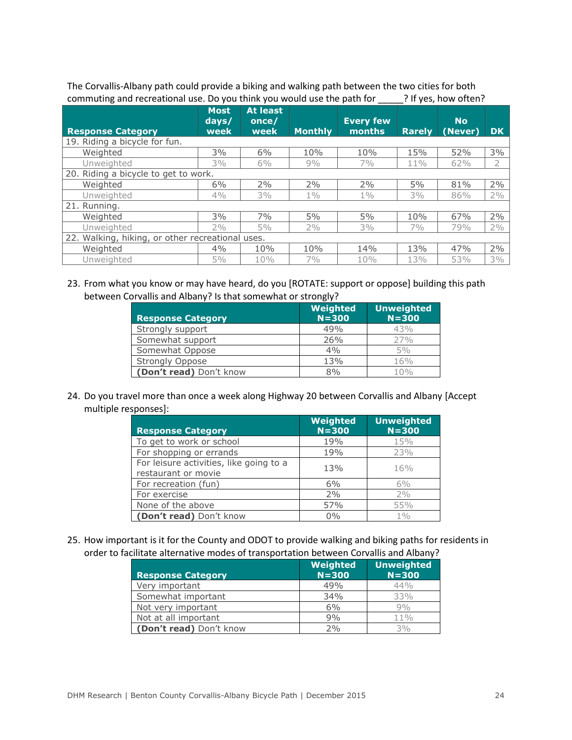The Corvallis-Albany path could provide a biking and walking path between the two cities for both commuting and recreational use. Do you think you would use the path for \_\_\_\_\_? If yes, how often?

| <b>Response Category</b>                         | <b>Most</b><br>days/<br>week | <b>At least</b><br>once/<br>week | <b>Monthly</b> | <b>Every few</b><br>months | <b>Rarely</b> | <b>No</b><br>(Never) | DK.   |
|--------------------------------------------------|------------------------------|----------------------------------|----------------|----------------------------|---------------|----------------------|-------|
| 19. Riding a bicycle for fun.                    |                              |                                  |                |                            |               |                      |       |
| Weighted                                         | 3%                           | 6%                               | 10%            | 10%                        | 15%           | 52%                  | 3%    |
| Unweighted                                       | $3\%$                        | 6%                               | 9%             | 7%                         | 11%           | 62%                  | 2     |
| 20. Riding a bicycle to get to work.             |                              |                                  |                |                            |               |                      |       |
| Weighted                                         | 6%                           | 2%                               | 2%             | 2%                         | 5%            | 81%                  | 2%    |
| Unweighted                                       | 4%                           | 3%                               | $1\%$          | $1\%$                      | 3%            | 86%                  | 2%    |
| 21. Running.                                     |                              |                                  |                |                            |               |                      |       |
| Weighted                                         | 3%                           | 7%                               | 5%             | 5%                         | 10%           | 67%                  | 2%    |
| Unweighted                                       | 2%                           | 5%                               | 2%             | $3\%$                      | $7\%$         | 79%                  | 2%    |
| 22. Walking, hiking, or other recreational uses. |                              |                                  |                |                            |               |                      |       |
| Weighted                                         | 4%                           | 10%                              | 10%            | 14%                        | 13%           | 47%                  | 2%    |
| Unweighted                                       | $5\%$                        | 10%                              | 7%             | 10%                        | 13%           | 53%                  | $3\%$ |

23. From what you know or may have heard, do you [ROTATE: support or oppose] building this path between Corvallis and Albany? Is that somewhat or strongly?

| <b>Response Category</b> | Weighted<br>$N = 300$ | <b>Unweighted</b><br>$N = 300$ |
|--------------------------|-----------------------|--------------------------------|
| Strongly support         | 49%                   | 43%                            |
| Somewhat support         | 26%                   | 27%                            |
| Somewhat Oppose          | 4%                    | 5%                             |
| <b>Strongly Oppose</b>   | 13%                   | 16%                            |
| (Don't read) Don't know  | 8%                    | 10%                            |

24. Do you travel more than once a week along Highway 20 between Corvallis and Albany [Accept multiple responses]:

| <b>Response Category</b>                                       | Weighted<br>$N = 300$ | <b>Unweighted</b><br>$N = 300$ |
|----------------------------------------------------------------|-----------------------|--------------------------------|
| To get to work or school                                       | 19%                   | 15%                            |
| For shopping or errands                                        | 19%                   | 23%                            |
| For leisure activities, like going to a<br>restaurant or movie | 13%                   | 16%                            |
| For recreation (fun)                                           | 6%                    | $6\%$                          |
| For exercise                                                   | 2%                    | 2%                             |
| None of the above                                              | 57%                   | 55%                            |
| (Don't read) Don't know                                        | $0\%$                 | 1%                             |

25. How important is it for the County and ODOT to provide walking and biking paths for residents in order to facilitate alternative modes of transportation between Corvallis and Albany?

| <b>Response Category</b> | Weighted<br>$N = 300$ | <b>Unweighted</b><br>$N = 300$ |
|--------------------------|-----------------------|--------------------------------|
| Very important           | 49%                   | 44%                            |
| Somewhat important       | 34%                   | 33%                            |
| Not very important       | 6%                    | 9%                             |
| Not at all important     | 9%                    | $11\%$                         |
| (Don't read) Don't know  | 2%                    | 3%                             |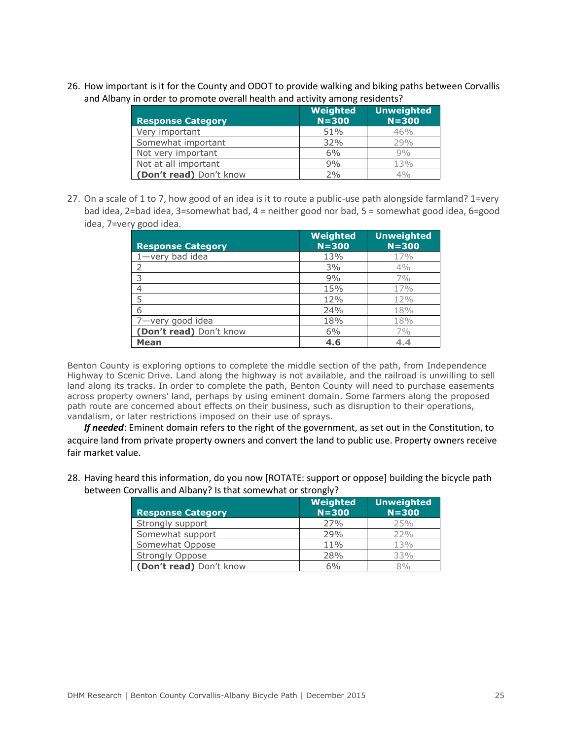26. How important is it for the County and ODOT to provide walking and biking paths between Corvallis and Albany in order to promote overall health and activity among residents?

| <b>Response Category</b> | Weighted<br>$N = 300$ | <b>Unweighted</b><br>$N = 300$ |
|--------------------------|-----------------------|--------------------------------|
| Very important           | 51%                   | 46%                            |
| Somewhat important       | 32%                   | 79%                            |
| Not very important       | 6%                    | 9%                             |
| Not at all important     | 9%                    | 13%                            |
| (Don't read) Don't know  | 2%                    | 4%                             |

27. On a scale of 1 to 7, how good of an idea is it to route a public-use path alongside farmland? 1=very bad idea, 2=bad idea, 3=somewhat bad, 4 = neither good nor bad, 5 = somewhat good idea, 6=good idea, 7=very good idea.

| <b>Response Category</b> | Weighted<br>$N = 300$ | <b>Unweighted</b><br>$N = 300$ |
|--------------------------|-----------------------|--------------------------------|
| $1$ -very bad idea       | 13%                   | 17%                            |
|                          | 3%                    | 4%                             |
| ς                        | 9%                    | 7%                             |
| 4                        | 15%                   | 17%                            |
| 5                        | 12%                   | 12%                            |
| 6                        | 24%                   | 18%                            |
| 7-very good idea         | 18%                   | 18%                            |
| (Don't read) Don't know  | 6%                    | 7%                             |
| <b>Mean</b>              | 4.6                   | 4.4                            |

Benton County is exploring options to complete the middle section of the path, from Independence Highway to Scenic Drive. Land along the highway is not available, and the railroad is unwilling to sell land along its tracks. In order to complete the path, Benton County will need to purchase easements across property owners' land, perhaps by using eminent domain. Some farmers along the proposed path route are concerned about effects on their business, such as disruption to their operations, vandalism, or later restrictions imposed on their use of sprays.

*If needed*: Eminent domain refers to the right of the government, as set out in the Constitution, to acquire land from private property owners and convert the land to public use. Property owners receive fair market value.

| <b>Response Category</b> | Weighted<br>$N = 300$ | <b>Unweighted</b><br>$N = 300$ |
|--------------------------|-----------------------|--------------------------------|
| Strongly support         | 27%                   | 25%                            |
| Somewhat support         | 29%                   | 22%                            |
| Somewhat Oppose          | 11%                   | 13%                            |
| Strongly Oppose          | 28%                   | 33%                            |
| (Don't read) Don't know  | 6%                    | 8%                             |

28. Having heard this information, do you now [ROTATE: support or oppose] building the bicycle path between Corvallis and Albany? Is that somewhat or strongly?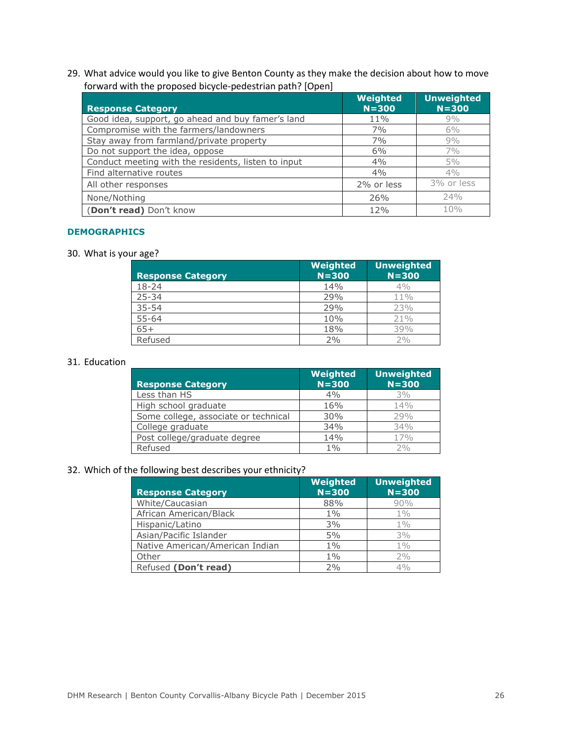29. What advice would you like to give Benton County as they make the decision about how to move forward with the proposed bicycle-pedestrian path? [Open]

| <b>Response Category</b>                            | Weighted<br>$N = 300$ | <b>Unweighted</b><br>$N = 300$ |
|-----------------------------------------------------|-----------------------|--------------------------------|
| Good idea, support, go ahead and buy famer's land   | 11%                   | 9%                             |
| Compromise with the farmers/landowners              | 7%                    | 6%                             |
| Stay away from farmland/private property            | 7%                    | 9%                             |
| Do not support the idea, oppose                     | 6%                    | 7%                             |
| Conduct meeting with the residents, listen to input | 4%                    | 5%                             |
| Find alternative routes                             | 4%                    | 4%                             |
| All other responses                                 | 2% or less            | 3% or less                     |
| None/Nothing                                        | 26%                   | 24%                            |
| (Don't read) Don't know                             | 12%                   | 10%                            |

#### **DEMOGRAPHICS**

30. What is your age?

| <b>Response Category</b> | Weighted<br>$N = 300$ | <b>Unweighted</b><br>$N = 300$ |
|--------------------------|-----------------------|--------------------------------|
| 18-24                    | 14%                   | 4%                             |
| $25 - 34$                | 29%                   | $11\%$                         |
| $35 - 54$                | 29%                   | 23%                            |
| $55 - 64$                | 10%                   | 21%                            |
| $65+$                    | 18%                   | 39%                            |
| Refused                  | 2%                    | 2%                             |

### 31. Education

| <b>Response Category</b>             | Weighted<br>$N = 300$ | <b>Unweighted</b><br>$N = 300$ |
|--------------------------------------|-----------------------|--------------------------------|
| Less than HS                         | 4%                    | 3%                             |
| High school graduate                 | 16%                   | 14%                            |
| Some college, associate or technical | 30%                   | 29%                            |
| College graduate                     | 34%                   | 34%                            |
| Post college/graduate degree         | 14%                   | 17%                            |
| Refused                              | $1\%$                 | 2%                             |

# 32. Which of the following best describes your ethnicity?

| <b>Response Category</b>        | Weighted<br>$N = 300$ | <b>Unweighted</b><br>$N = 300$ |
|---------------------------------|-----------------------|--------------------------------|
| White/Caucasian                 | 88%                   | 90%                            |
| African American/Black          | $1\%$                 | $1\%$                          |
| Hispanic/Latino                 | 3%                    | $1\%$                          |
| Asian/Pacific Islander          | 5%                    | 3%                             |
| Native American/American Indian | $1\%$                 | $1\%$                          |
| Other                           | $1\%$                 | 2%                             |
| Refused (Don't read)            | 2%                    | 4%                             |